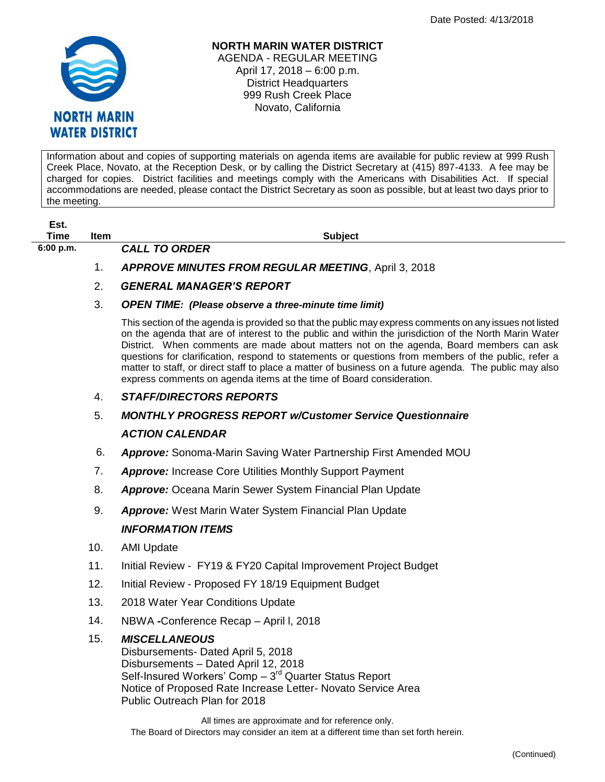

## **NORTH MARIN WATER DISTRICT** AGENDA - REGULAR MEETING April 17, 2018 – 6:00 p.m. District Headquarters 999 Rush Creek Place Novato, California

Information about and copies of supporting materials on agenda items are available for public review at 999 Rush Creek Place, Novato, at the Reception Desk, or by calling the District Secretary at (415) 897-4133. A fee may be charged for copies. District facilities and meetings comply with the Americans with Disabilities Act. If special accommodations are needed, please contact the District Secretary as soon as possible, but at least two days prior to the meeting.

| Est.<br>Time | <b>Item</b> | <b>Subject</b>                                                                                                                                                                                                                                                                                                                                                                                                                                                                                                                                                                                       |
|--------------|-------------|------------------------------------------------------------------------------------------------------------------------------------------------------------------------------------------------------------------------------------------------------------------------------------------------------------------------------------------------------------------------------------------------------------------------------------------------------------------------------------------------------------------------------------------------------------------------------------------------------|
| 6:00 p.m.    |             | <b>CALL TO ORDER</b>                                                                                                                                                                                                                                                                                                                                                                                                                                                                                                                                                                                 |
|              | 1.          | <b>APPROVE MINUTES FROM REGULAR MEETING, April 3, 2018</b>                                                                                                                                                                                                                                                                                                                                                                                                                                                                                                                                           |
|              | 2.          | <b>GENERAL MANAGER'S REPORT</b>                                                                                                                                                                                                                                                                                                                                                                                                                                                                                                                                                                      |
|              | 3.          | <b>OPEN TIME:</b> (Please observe a three-minute time limit)                                                                                                                                                                                                                                                                                                                                                                                                                                                                                                                                         |
|              |             | This section of the agenda is provided so that the public may express comments on any issues not listed<br>on the agenda that are of interest to the public and within the jurisdiction of the North Marin Water<br>District. When comments are made about matters not on the agenda, Board members can ask<br>questions for clarification, respond to statements or questions from members of the public, refer a<br>matter to staff, or direct staff to place a matter of business on a future agenda. The public may also<br>express comments on agenda items at the time of Board consideration. |
|              | 4.          | <b>STAFF/DIRECTORS REPORTS</b>                                                                                                                                                                                                                                                                                                                                                                                                                                                                                                                                                                       |
|              | 5.          | <b>MONTHLY PROGRESS REPORT w/Customer Service Questionnaire</b>                                                                                                                                                                                                                                                                                                                                                                                                                                                                                                                                      |
|              |             | <b>ACTION CALENDAR</b>                                                                                                                                                                                                                                                                                                                                                                                                                                                                                                                                                                               |
|              | 6.          | <b>Approve:</b> Sonoma-Marin Saving Water Partnership First Amended MOU                                                                                                                                                                                                                                                                                                                                                                                                                                                                                                                              |
|              | 7.          | <b>Approve:</b> Increase Core Utilities Monthly Support Payment                                                                                                                                                                                                                                                                                                                                                                                                                                                                                                                                      |
|              | 8.          | <b>Approve:</b> Oceana Marin Sewer System Financial Plan Update                                                                                                                                                                                                                                                                                                                                                                                                                                                                                                                                      |
|              | 9.          | <b>Approve:</b> West Marin Water System Financial Plan Update                                                                                                                                                                                                                                                                                                                                                                                                                                                                                                                                        |
|              |             | <b>INFORMATION ITEMS</b>                                                                                                                                                                                                                                                                                                                                                                                                                                                                                                                                                                             |
|              | 10.         | <b>AMI Update</b>                                                                                                                                                                                                                                                                                                                                                                                                                                                                                                                                                                                    |
|              | 11.         | Initial Review - FY19 & FY20 Capital Improvement Project Budget                                                                                                                                                                                                                                                                                                                                                                                                                                                                                                                                      |

- 12. Initial Review Proposed FY 18/19 Equipment Budget
- 13. 2018 Water Year Conditions Update
- 14. NBWA *-*Conference Recap April l, 2018

## 15. *MISCELLANEOUS*

Disbursements- Dated April 5, 2018 Disbursements – Dated April 12, 2018 Self-Insured Workers' Comp - 3<sup>rd</sup> Quarter Status Report Notice of Proposed Rate Increase Letter- Novato Service Area Public Outreach Plan for 2018

All times are approximate and for reference only. The Board of Directors may consider an item at a different time than set forth herein.